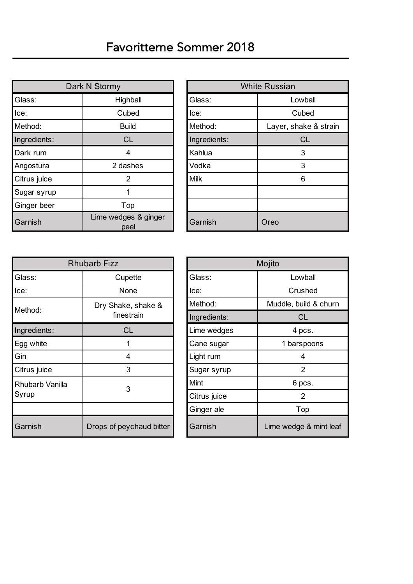| Dark N Stormy                           |              | <b>White Russian</b> |                       |  |
|-----------------------------------------|--------------|----------------------|-----------------------|--|
| Glass:                                  | Highball     | Glass:               | Lowball               |  |
| Ice:                                    | Cubed        | lce:                 | Cubed                 |  |
| Method:                                 | <b>Build</b> |                      | Layer, shake & strain |  |
| Ingredients:<br><b>CL</b>               |              | Ingredients:         | <b>CL</b>             |  |
| Dark rum<br>4                           |              | Kahlua               | 3                     |  |
| Angostura                               | 2 dashes     |                      | 3                     |  |
| Citrus juice<br>2                       |              | <b>Milk</b>          | 6                     |  |
| Sugar syrup                             |              |                      |                       |  |
| Ginger beer<br>Top                      |              |                      |                       |  |
| Lime wedges & ginger<br>Garnish<br>peel |              | Garnish              | Oreo                  |  |

|                       |              | <b>White Russian</b>  |  |
|-----------------------|--------------|-----------------------|--|
| ighball               | Glass:       | Lowball               |  |
| ubed:                 | Ice:         | Cubed                 |  |
| Build                 | Method:      | Layer, shake & strain |  |
| <b>CL</b>             | Ingredients: | <b>CL</b>             |  |
| 4                     | Kahlua       | 3                     |  |
| lashes                | Vodka        | 3                     |  |
| 2                     | <b>Milk</b>  | 6                     |  |
|                       |              |                       |  |
| Top                   |              |                       |  |
| lges & ginger<br>peel | Garnish      | Oreo                  |  |

| <b>Rhubarb Fizz</b>           |                          | Mojito       |                        |  |
|-------------------------------|--------------------------|--------------|------------------------|--|
| Glass:<br>Cupette             |                          | Glass:       | Lowball                |  |
| lce:                          | None                     | Ice:         | Crushed                |  |
| Method:                       | Dry Shake, shake &       | Method:      | Muddle, build & churn  |  |
|                               | finestrain               | Ingredients: | <b>CL</b>              |  |
| Ingredients:                  | <b>CL</b>                | Lime wedges  | 4 pcs.                 |  |
| Egg white                     |                          | Cane sugar   | 1 barspoons            |  |
| Gin<br>4<br>3<br>Citrus juice |                          | Light rum    | 4<br>$\overline{2}$    |  |
|                               |                          | Sugar syrup  |                        |  |
| Rhubarb Vanilla               | 3                        | Mint         | 6 pcs.                 |  |
| Syrup                         |                          | Citrus juice | $\overline{2}$         |  |
|                               |                          | Ginger ale   | Top                    |  |
| Garnish                       | Drops of peychaud bitter | Garnish      | Lime wedge & mint leaf |  |

| Mojito       |                        |  |  |
|--------------|------------------------|--|--|
| Glass:       | Lowball                |  |  |
| lce:         | Crushed                |  |  |
| Method:      | Muddle, build & churn  |  |  |
| Ingredients: | <b>CL</b>              |  |  |
| Lime wedges  | 4 pcs.                 |  |  |
| Cane sugar   | 1 barspoons            |  |  |
| Light rum    | 4                      |  |  |
| Sugar syrup  | 2                      |  |  |
| Mint         | 6 pcs.                 |  |  |
| Citrus juice | 2                      |  |  |
| Ginger ale   | Top                    |  |  |
| Garnish      | Lime wedge & mint leaf |  |  |